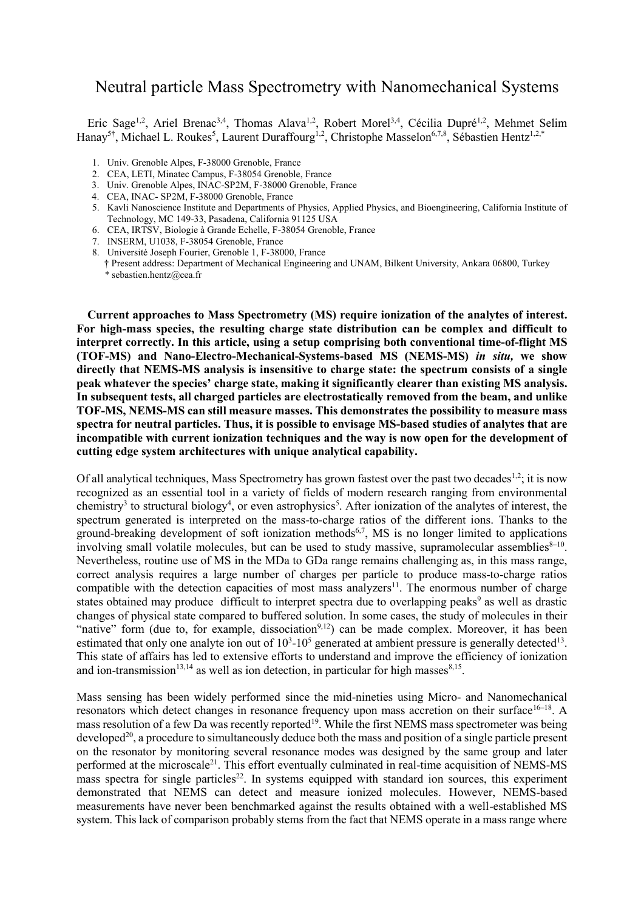# Neutral particle Mass Spectrometry with Nanomechanical Systems

Eric Sage<sup>1,2</sup>, Ariel Brenac<sup>3,4</sup>, Thomas Alava<sup>1,2</sup>, Robert Morel<sup>3,4</sup>, Cécilia Dupré<sup>1,2</sup>, Mehmet Selim Hanay<sup>5†</sup>, Michael L. Roukes<sup>5</sup>, Laurent Duraffourg<sup>1,2</sup>, Christophe Masselon<sup>6,7,8</sup>, Sébastien Hentz<sup>1,2,\*</sup>

- 1. Univ. Grenoble Alpes, F-38000 Grenoble, France
- 2. CEA, LETI, Minatec Campus, F-38054 Grenoble, France
- 3. Univ. Grenoble Alpes, INAC-SP2M, F-38000 Grenoble, France
- 4. CEA, INAC- SP2M, F-38000 Grenoble, France
- 5. Kavli Nanoscience Institute and Departments of Physics, Applied Physics, and Bioengineering, California Institute of Technology, MC 149-33, Pasadena, California 91125 USA
- 6. CEA, IRTSV, Biologie à Grande Echelle, F-38054 Grenoble, France
- 7. INSERM, U1038, F-38054 Grenoble, France
- 8. Université Joseph Fourier, Grenoble 1, F-38000, France
- † Present address: Department of Mechanical Engineering and UNAM, Bilkent University, Ankara 06800, Turkey \* sebastien.hentz@cea.fr

**Current approaches to Mass Spectrometry (MS) require ionization of the analytes of interest. For high-mass species, the resulting charge state distribution can be complex and difficult to interpret correctly. In this article, using a setup comprising both conventional time-of-flight MS (TOF-MS) and Nano-Electro-Mechanical-Systems-based MS (NEMS-MS)** *in situ,* **we show directly that NEMS-MS analysis is insensitive to charge state: the spectrum consists of a single peak whatever the species' charge state, making it significantly clearer than existing MS analysis. In subsequent tests, all charged particles are electrostatically removed from the beam, and unlike TOF-MS, NEMS-MS can still measure masses. This demonstrates the possibility to measure mass spectra for neutral particles. Thus, it is possible to envisage MS-based studies of analytes that are incompatible with current ionization techniques and the way is now open for the development of cutting edge system architectures with unique analytical capability.**

Of all analytical techniques, Mass Spectrometry has grown fastest over the past two decades<sup>1,2</sup>; it is now recognized as an essential tool in a variety of fields of modern research ranging from environmental chemistry<sup>3</sup> to structural biology<sup>4</sup>, or even astrophysics<sup>5</sup>. After ionization of the analytes of interest, the spectrum generated is interpreted on the mass-to-charge ratios of the different ions. Thanks to the ground-breaking development of soft ionization methods<sup>6,7</sup>, MS is no longer limited to applications involving small volatile molecules, but can be used to study massive, supramolecular assemblies<sup>8-10</sup>. Nevertheless, routine use of MS in the MDa to GDa range remains challenging as, in this mass range, correct analysis requires a large number of charges per particle to produce mass-to-charge ratios compatible with the detection capacities of most mass analyzers<sup>11</sup>. The enormous number of charge states obtained may produce difficult to interpret spectra due to overlapping peaks<sup>9</sup> as well as drastic changes of physical state compared to buffered solution. In some cases, the study of molecules in their "native" form (due to, for example, dissociation<sup>9,12</sup>) can be made complex. Moreover, it has been estimated that only one analyte ion out of  $10<sup>3</sup>$ -10<sup>5</sup> generated at ambient pressure is generally detected<sup>13</sup>. This state of affairs has led to extensive efforts to understand and improve the efficiency of ionization and ion-transmission<sup>13,14</sup> as well as ion detection, in particular for high masses<sup>8,15</sup>.

Mass sensing has been widely performed since the mid-nineties using Micro- and Nanomechanical resonators which detect changes in resonance frequency upon mass accretion on their surface<sup>16-18</sup>. A mass resolution of a few Da was recently reported<sup>19</sup>. While the first NEMS mass spectrometer was being developed<sup>20</sup>, a procedure to simultaneously deduce both the mass and position of a single particle present on the resonator by monitoring several resonance modes was designed by the same group and later performed at the microscale<sup>21</sup>. This effort eventually culminated in real-time acquisition of NEMS-MS mass spectra for single particles<sup>22</sup>. In systems equipped with standard ion sources, this experiment demonstrated that NEMS can detect and measure ionized molecules. However, NEMS-based measurements have never been benchmarked against the results obtained with a well-established MS system. This lack of comparison probably stems from the fact that NEMS operate in a mass range where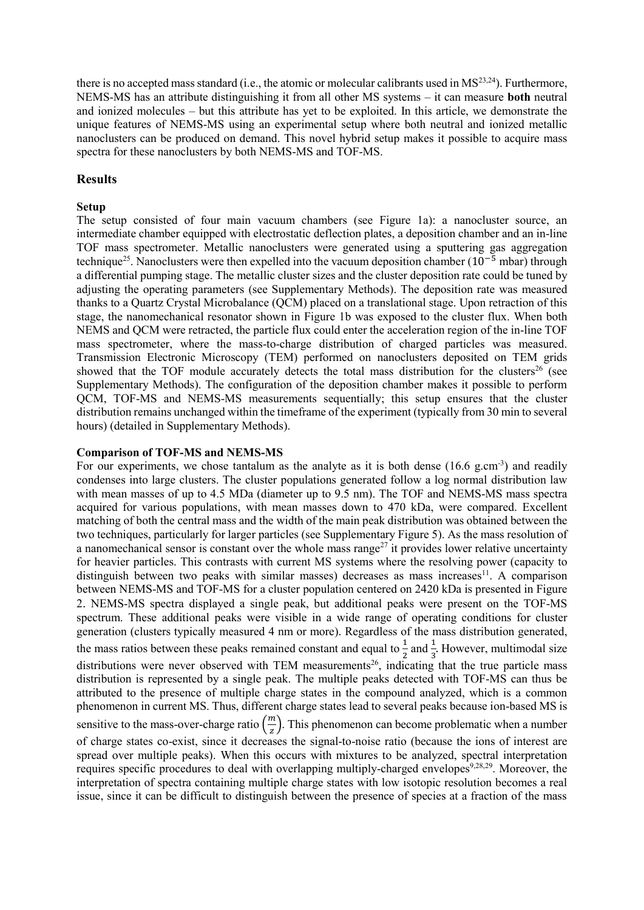there is no accepted mass standard (i.e., the atomic or molecular calibrants used in MS<sup>23,24</sup>). Furthermore, NEMS-MS has an attribute distinguishing it from all other MS systems – it can measure **both** neutral and ionized molecules – but this attribute has yet to be exploited. In this article, we demonstrate the unique features of NEMS-MS using an experimental setup where both neutral and ionized metallic nanoclusters can be produced on demand. This novel hybrid setup makes it possible to acquire mass spectra for these nanoclusters by both NEMS-MS and TOF-MS.

# **Results**

## **Setup**

The setup consisted of four main vacuum chambers (see [Figure 1a](#page-4-0)): a nanocluster source, an intermediate chamber equipped with electrostatic deflection plates, a deposition chamber and an in-line TOF mass spectrometer. Metallic nanoclusters were generated using a sputtering gas aggregation technique<sup>25</sup>. Nanoclusters were then expelled into the vacuum deposition chamber ( $10^{-5}$  mbar) through a differential pumping stage. The metallic cluster sizes and the cluster deposition rate could be tuned by adjusting the operating parameters (see Supplementary Methods). The deposition rate was measured thanks to a Quartz Crystal Microbalance (QCM) placed on a translational stage. Upon retraction of this stage, the nanomechanical resonator shown in [Figure 1b](#page-4-0) was exposed to the cluster flux. When both NEMS and QCM were retracted, the particle flux could enter the acceleration region of the in-line TOF mass spectrometer, where the mass-to-charge distribution of charged particles was measured. Transmission Electronic Microscopy (TEM) performed on nanoclusters deposited on TEM grids showed that the TOF module accurately detects the total mass distribution for the clusters<sup>26</sup> (see Supplementary Methods). The configuration of the deposition chamber makes it possible to perform QCM, TOF-MS and NEMS-MS measurements sequentially; this setup ensures that the cluster distribution remains unchanged within the timeframe of the experiment (typically from 30 min to several hours) (detailed in Supplementary Methods).

## **Comparison of TOF-MS and NEMS-MS**

For our experiments, we chose tantalum as the analyte as it is both dense (16.6 g.cm<sup>-3</sup>) and readily condenses into large clusters. The cluster populations generated follow a log normal distribution law with mean masses of up to 4.5 MDa (diameter up to 9.5 nm). The TOF and NEMS-MS mass spectra acquired for various populations, with mean masses down to 470 kDa, were compared. Excellent matching of both the central mass and the width of the main peak distribution was obtained between the two techniques, particularly for larger particles (see Supplementary Figure 5). As the mass resolution of a nanomechanical sensor is constant over the whole mass range<sup> $27$ </sup> it provides lower relative uncertainty for heavier particles. This contrasts with current MS systems where the resolving power (capacity to distinguish between two peaks with similar masses) decreases as mass increases<sup>11</sup>. A comparison between NEMS-MS and TOF-MS for a cluster population centered on 2420 kDa is presented in [Figure](#page-5-0)  [2](#page-5-0). NEMS-MS spectra displayed a single peak, but additional peaks were present on the TOF-MS spectrum. These additional peaks were visible in a wide range of operating conditions for cluster generation (clusters typically measured 4 nm or more). Regardless of the mass distribution generated, the mass ratios between these peaks remained constant and equal to  $\frac{1}{2}$  and  $\frac{1}{3}$ . However, multimodal size distributions were never observed with TEM measurements<sup>26</sup>, indicating that the true particle mass distribution is represented by a single peak. The multiple peaks detected with TOF-MS can thus be attributed to the presence of multiple charge states in the compound analyzed, which is a common phenomenon in current MS. Thus, different charge states lead to several peaks because ion-based MS is sensitive to the mass-over-charge ratio  $\left(\frac{m}{a}\right)$  $\frac{m}{z}$ ). This phenomenon can become problematic when a number of charge states co-exist, since it decreases the signal-to-noise ratio (because the ions of interest are spread over multiple peaks). When this occurs with mixtures to be analyzed, spectral interpretation requires specific procedures to deal with overlapping multiply-charged envelopes<sup>9,28,29</sup>. Moreover, the interpretation of spectra containing multiple charge states with low isotopic resolution becomes a real issue, since it can be difficult to distinguish between the presence of species at a fraction of the mass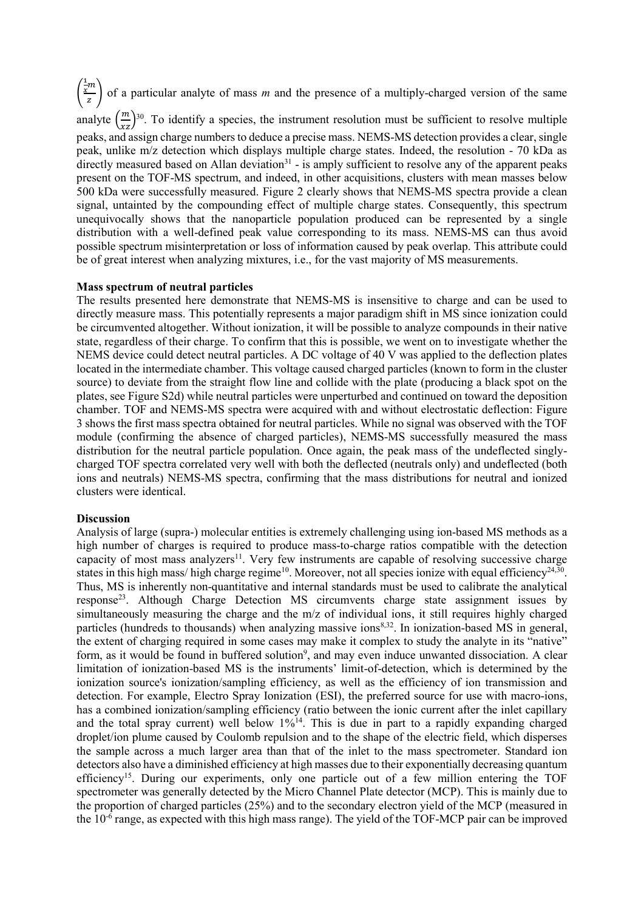( 1  $\frac{1}{x}m$  $\frac{m}{z}$ ) of a particular analyte of mass *m* and the presence of a multiply-charged version of the same analyte  $\left(\frac{m}{xz}\right)^{30}$ . To identify a species, the instrument resolution must be sufficient to resolve multiple peaks, and assign charge numbers to deduce a precise mass. NEMS-MS detection provides a clear, single peak, unlike m/z detection which displays multiple charge states. Indeed, the resolution - 70 kDa as directly measured based on Allan deviation<sup>31</sup> - is amply sufficient to resolve any of the apparent peaks present on the TOF-MS spectrum, and indeed, in other acquisitions, clusters with mean masses below 500 kDa were successfully measured. [Figure 2](#page-5-0) clearly shows that NEMS-MS spectra provide a clean signal, untainted by the compounding effect of multiple charge states. Consequently, this spectrum unequivocally shows that the nanoparticle population produced can be represented by a single distribution with a well-defined peak value corresponding to its mass. NEMS-MS can thus avoid possible spectrum misinterpretation or loss of information caused by peak overlap. This attribute could be of great interest when analyzing mixtures, i.e., for the vast majority of MS measurements.

#### **Mass spectrum of neutral particles**

The results presented here demonstrate that NEMS-MS is insensitive to charge and can be used to directly measure mass. This potentially represents a major paradigm shift in MS since ionization could be circumvented altogether. Without ionization, it will be possible to analyze compounds in their native state, regardless of their charge. To confirm that this is possible, we went on to investigate whether the NEMS device could detect neutral particles. A DC voltage of 40 V was applied to the deflection plates located in the intermediate chamber. This voltage caused charged particles (known to form in the cluster source) to deviate from the straight flow line and collide with the plate (producing a black spot on the plates, see Figure S2d) while neutral particles were unperturbed and continued on toward the deposition chamber. TOF and NEMS-MS spectra were acquired with and without electrostatic deflection: [Figure](#page-6-0)  [3](#page-6-0) shows the first mass spectra obtained for neutral particles. While no signal was observed with the TOF module (confirming the absence of charged particles), NEMS-MS successfully measured the mass distribution for the neutral particle population. Once again, the peak mass of the undeflected singlycharged TOF spectra correlated very well with both the deflected (neutrals only) and undeflected (both ions and neutrals) NEMS-MS spectra, confirming that the mass distributions for neutral and ionized clusters were identical.

### **Discussion**

Analysis of large (supra-) molecular entities is extremely challenging using ion-based MS methods as a high number of charges is required to produce mass-to-charge ratios compatible with the detection capacity of most mass analyzers<sup>11</sup>. Very few instruments are capable of resolving successive charge states in this high mass/ high charge regime<sup>10</sup>. Moreover, not all species ionize with equal efficiency<sup>24,30</sup>. Thus, MS is inherently non-quantitative and internal standards must be used to calibrate the analytical response<sup>23</sup>. Although Charge Detection MS circumvents charge state assignment issues by simultaneously measuring the charge and the m/z of individual ions, it still requires highly charged particles (hundreds to thousands) when analyzing massive ions<sup>8,32</sup>. In ionization-based MS in general, the extent of charging required in some cases may make it complex to study the analyte in its "native" form, as it would be found in buffered solution<sup>9</sup>, and may even induce unwanted dissociation. A clear limitation of ionization-based MS is the instruments' limit-of-detection, which is determined by the ionization source's ionization/sampling efficiency, as well as the efficiency of ion transmission and detection. For example, Electro Spray Ionization (ESI), the preferred source for use with macro-ions, has a combined ionization/sampling efficiency (ratio between the ionic current after the inlet capillary and the total spray current) well below  $1\%^{14}$ . This is due in part to a rapidly expanding charged droplet/ion plume caused by Coulomb repulsion and to the shape of the electric field, which disperses the sample across a much larger area than that of the inlet to the mass spectrometer. Standard ion detectors also have a diminished efficiency at high masses due to their exponentially decreasing quantum efficiency<sup>15</sup>. During our experiments, only one particle out of a few million entering the TOF spectrometer was generally detected by the Micro Channel Plate detector (MCP). This is mainly due to the proportion of charged particles (25%) and to the secondary electron yield of the MCP (measured in the 10-6 range, as expected with this high mass range). The yield of the TOF-MCP pair can be improved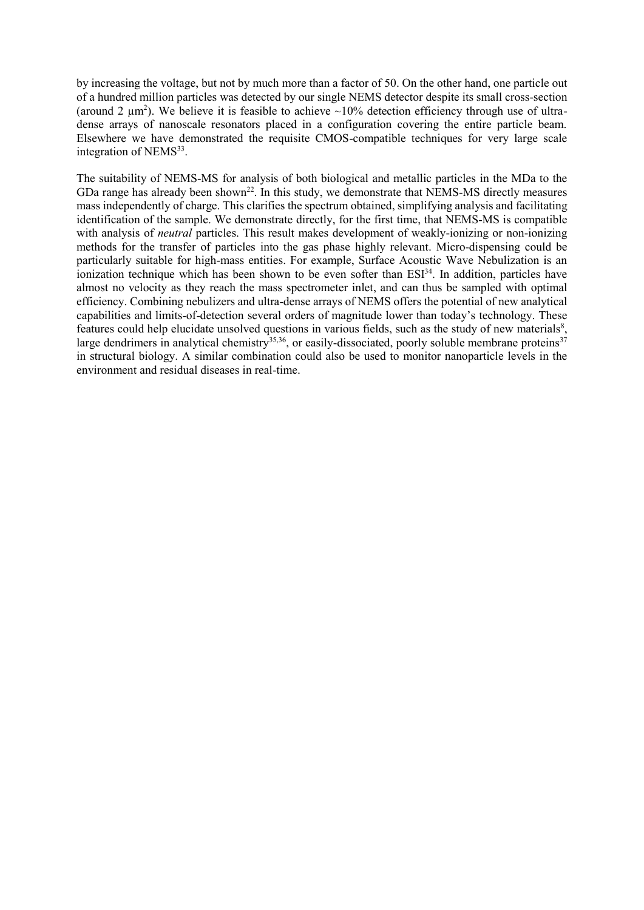by increasing the voltage, but not by much more than a factor of 50. On the other hand, one particle out of a hundred million particles was detected by our single NEMS detector despite its small cross-section (around 2  $\mu$ m<sup>2</sup>). We believe it is feasible to achieve ~10% detection efficiency through use of ultradense arrays of nanoscale resonators placed in a configuration covering the entire particle beam. Elsewhere we have demonstrated the requisite CMOS-compatible techniques for very large scale integration of NEMS<sup>33</sup>.

The suitability of NEMS-MS for analysis of both biological and metallic particles in the MDa to the GDa range has already been shown<sup>22</sup>. In this study, we demonstrate that NEMS-MS directly measures mass independently of charge. This clarifies the spectrum obtained, simplifying analysis and facilitating identification of the sample. We demonstrate directly, for the first time, that NEMS-MS is compatible with analysis of *neutral* particles. This result makes development of weakly-ionizing or non-ionizing methods for the transfer of particles into the gas phase highly relevant. Micro-dispensing could be particularly suitable for high-mass entities. For example, Surface Acoustic Wave Nebulization is an ionization technique which has been shown to be even softer than ESI<sup>34</sup>. In addition, particles have almost no velocity as they reach the mass spectrometer inlet, and can thus be sampled with optimal efficiency. Combining nebulizers and ultra-dense arrays of NEMS offers the potential of new analytical capabilities and limits-of-detection several orders of magnitude lower than today's technology. These features could help elucidate unsolved questions in various fields, such as the study of new materials<sup>8</sup>, large dendrimers in analytical chemistry<sup>35,36</sup>, or easily-dissociated, poorly soluble membrane proteins<sup>37</sup> in structural biology. A similar combination could also be used to monitor nanoparticle levels in the environment and residual diseases in real-time.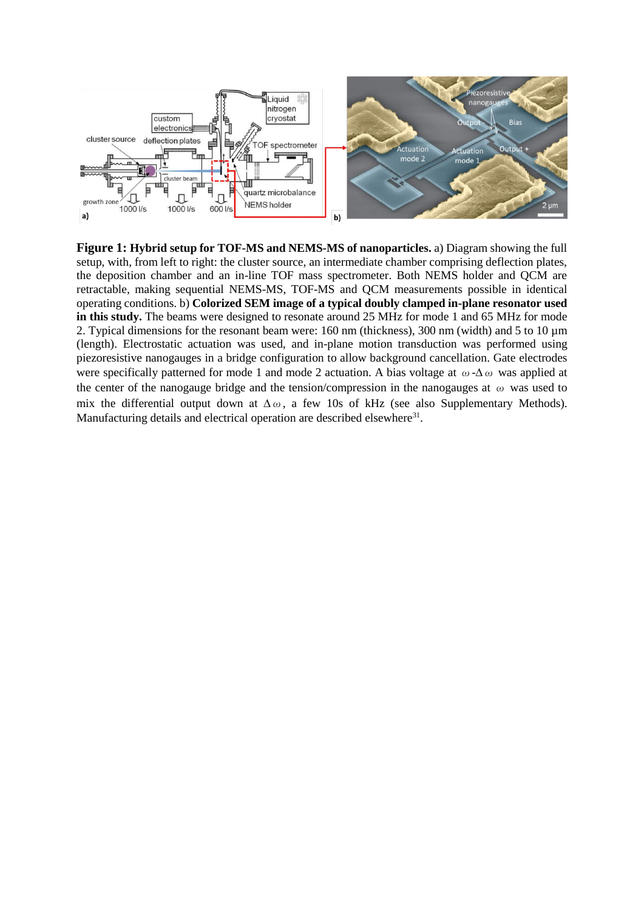

<span id="page-4-0"></span>**Figure 1: Hybrid setup for TOF-MS and NEMS-MS of nanoparticles.** a) Diagram showing the full setup, with, from left to right: the cluster source, an intermediate chamber comprising deflection plates, the deposition chamber and an in-line TOF mass spectrometer. Both NEMS holder and QCM are retractable, making sequential NEMS-MS, TOF-MS and QCM measurements possible in identical operating conditions. b) **Colorized SEM image of a typical doubly clamped in-plane resonator used in this study.** The beams were designed to resonate around 25 MHz for mode 1 and 65 MHz for mode 2. Typical dimensions for the resonant beam were: 160 nm (thickness), 300 nm (width) and 5 to 10 µm (length). Electrostatic actuation was used, and in-plane motion transduction was performed using piezoresistive nanogauges in a bridge configuration to allow background cancellation. Gate electrodes were specifically patterned for mode 1 and mode 2 actuation. A bias voltage at  $\omega$ - $\Delta \omega$  was applied at the center of the nanogauge bridge and the tension/compression in the nanogauges at  $\omega$  was used to mix the differential output down at  $\Delta \omega$ , a few 10s of kHz (see also Supplementary Methods). Manufacturing details and electrical operation are described elsewhere<sup>31</sup>.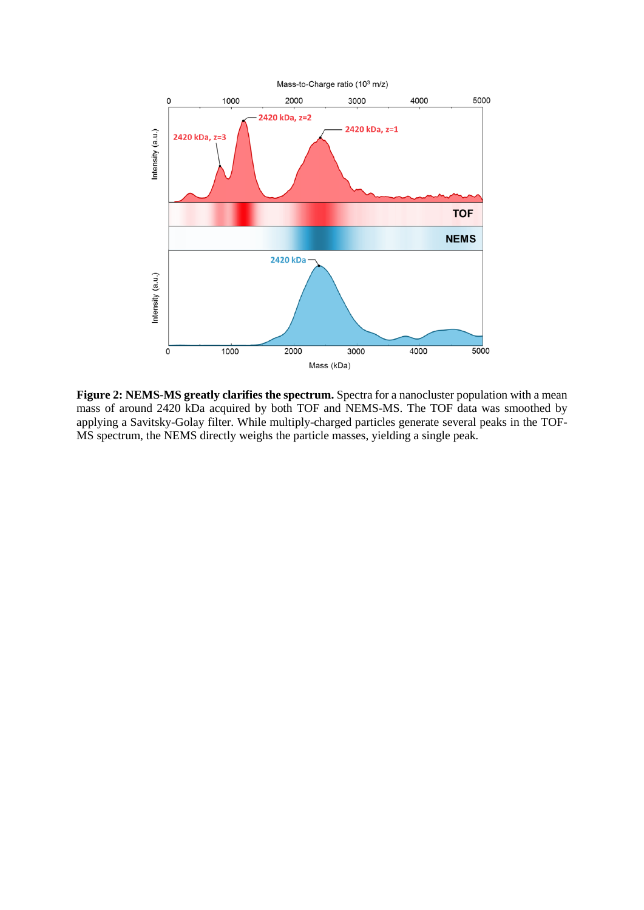

<span id="page-5-0"></span>**Figure 2: NEMS-MS greatly clarifies the spectrum.** Spectra for a nanocluster population with a mean mass of around 2420 kDa acquired by both TOF and NEMS-MS. The TOF data was smoothed by applying a Savitsky-Golay filter. While multiply-charged particles generate several peaks in the TOF-MS spectrum, the NEMS directly weighs the particle masses, yielding a single peak.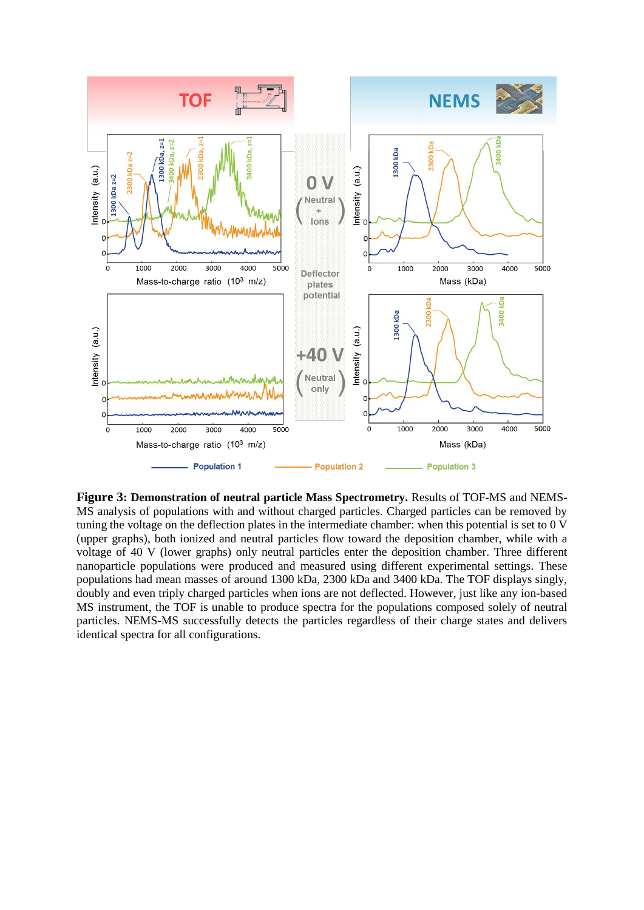

<span id="page-6-0"></span>**Figure 3: Demonstration of neutral particle Mass Spectrometry.** Results of TOF-MS and NEMS-MS analysis of populations with and without charged particles. Charged particles can be removed by tuning the voltage on the deflection plates in the intermediate chamber: when this potential is set to 0 V (upper graphs), both ionized and neutral particles flow toward the deposition chamber, while with a voltage of 40 V (lower graphs) only neutral particles enter the deposition chamber. Three different nanoparticle populations were produced and measured using different experimental settings. These populations had mean masses of around 1300 kDa, 2300 kDa and 3400 kDa. The TOF displays singly, doubly and even triply charged particles when ions are not deflected. However, just like any ion-based MS instrument, the TOF is unable to produce spectra for the populations composed solely of neutral particles. NEMS-MS successfully detects the particles regardless of their charge states and delivers identical spectra for all configurations.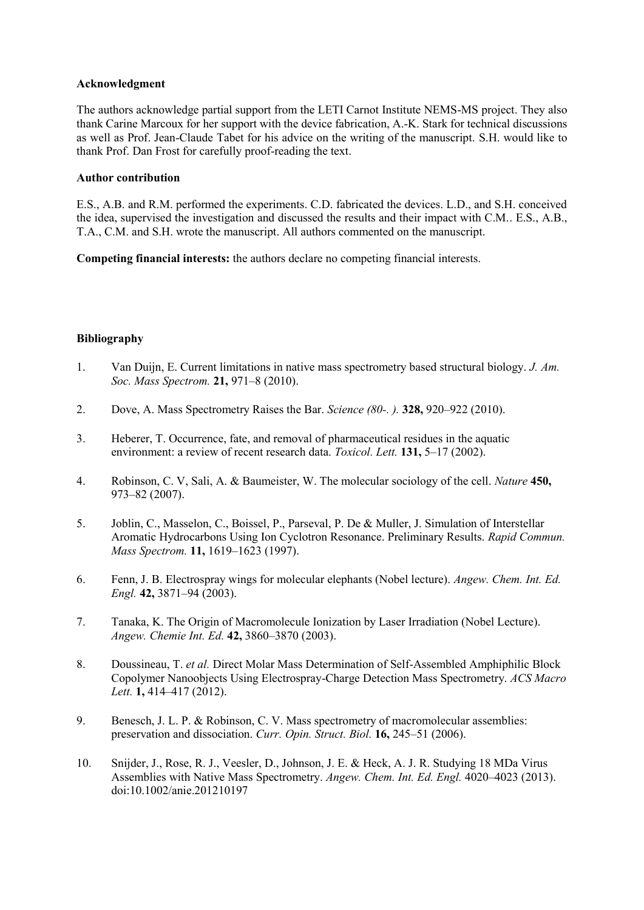## **Acknowledgment**

The authors acknowledge partial support from the LETI Carnot Institute NEMS-MS project. They also thank Carine Marcoux for her support with the device fabrication, A.-K. Stark for technical discussions as well as Prof. Jean-Claude Tabet for his advice on the writing of the manuscript. S.H. would like to thank Prof. Dan Frost for carefully proof-reading the text.

## **Author contribution**

E.S., A.B. and R.M. performed the experiments. C.D. fabricated the devices. L.D., and S.H. conceived the idea, supervised the investigation and discussed the results and their impact with C.M.. E.S., A.B., T.A., C.M. and S.H. wrote the manuscript. All authors commented on the manuscript.

**Competing financial interests:** the authors declare no competing financial interests.

## **Bibliography**

- 1. Van Duijn, E. Current limitations in native mass spectrometry based structural biology. *J. Am. Soc. Mass Spectrom.* **21,** 971–8 (2010).
- 2. Dove, A. Mass Spectrometry Raises the Bar. *Science (80-. ).* **328,** 920–922 (2010).
- 3. Heberer, T. Occurrence, fate, and removal of pharmaceutical residues in the aquatic environment: a review of recent research data. *Toxicol. Lett.* **131,** 5–17 (2002).
- 4. Robinson, C. V, Sali, A. & Baumeister, W. The molecular sociology of the cell. *Nature* **450,** 973–82 (2007).
- 5. Joblin, C., Masselon, C., Boissel, P., Parseval, P. De & Muller, J. Simulation of Interstellar Aromatic Hydrocarbons Using Ion Cyclotron Resonance. Preliminary Results. *Rapid Commun. Mass Spectrom.* **11,** 1619–1623 (1997).
- 6. Fenn, J. B. Electrospray wings for molecular elephants (Nobel lecture). *Angew. Chem. Int. Ed. Engl.* **42,** 3871–94 (2003).
- 7. Tanaka, K. The Origin of Macromolecule Ionization by Laser Irradiation (Nobel Lecture). *Angew. Chemie Int. Ed.* **42,** 3860–3870 (2003).
- 8. Doussineau, T. *et al.* Direct Molar Mass Determination of Self-Assembled Amphiphilic Block Copolymer Nanoobjects Using Electrospray-Charge Detection Mass Spectrometry. *ACS Macro Lett.* **1,** 414–417 (2012).
- 9. Benesch, J. L. P. & Robinson, C. V. Mass spectrometry of macromolecular assemblies: preservation and dissociation. *Curr. Opin. Struct. Biol.* **16,** 245–51 (2006).
- 10. Snijder, J., Rose, R. J., Veesler, D., Johnson, J. E. & Heck, A. J. R. Studying 18 MDa Virus Assemblies with Native Mass Spectrometry. *Angew. Chem. Int. Ed. Engl.* 4020–4023 (2013). doi:10.1002/anie.201210197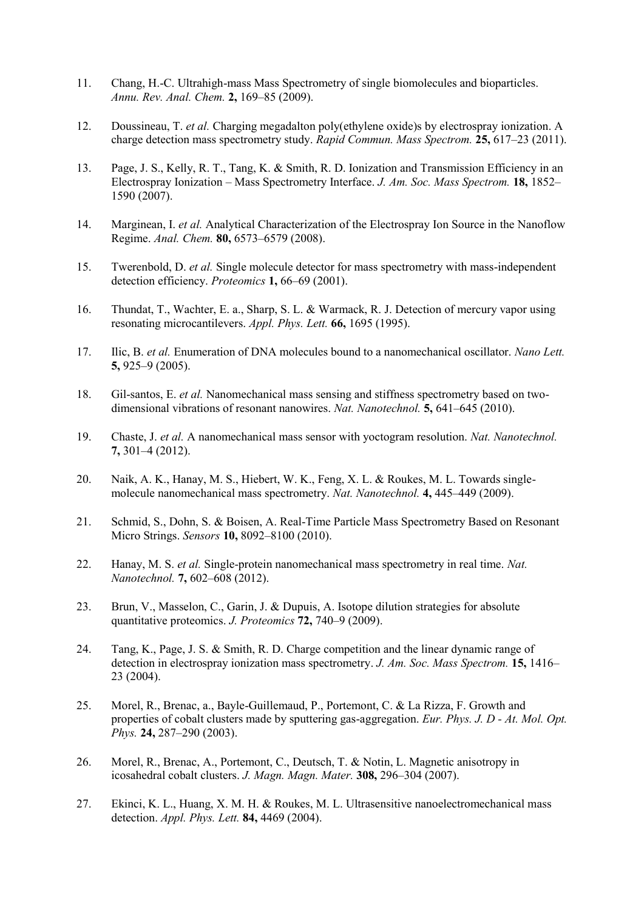- 11. Chang, H.-C. Ultrahigh-mass Mass Spectrometry of single biomolecules and bioparticles. *Annu. Rev. Anal. Chem.* **2,** 169–85 (2009).
- 12. Doussineau, T. *et al.* Charging megadalton poly(ethylene oxide)s by electrospray ionization. A charge detection mass spectrometry study. *Rapid Commun. Mass Spectrom.* **25,** 617–23 (2011).
- 13. Page, J. S., Kelly, R. T., Tang, K. & Smith, R. D. Ionization and Transmission Efficiency in an Electrospray Ionization – Mass Spectrometry Interface. *J. Am. Soc. Mass Spectrom.* **18,** 1852– 1590 (2007).
- 14. Marginean, I. *et al.* Analytical Characterization of the Electrospray Ion Source in the Nanoflow Regime. *Anal. Chem.* **80,** 6573–6579 (2008).
- 15. Twerenbold, D. *et al.* Single molecule detector for mass spectrometry with mass-independent detection efficiency. *Proteomics* **1,** 66–69 (2001).
- 16. Thundat, T., Wachter, E. a., Sharp, S. L. & Warmack, R. J. Detection of mercury vapor using resonating microcantilevers. *Appl. Phys. Lett.* **66,** 1695 (1995).
- 17. Ilic, B. *et al.* Enumeration of DNA molecules bound to a nanomechanical oscillator. *Nano Lett.* **5,** 925–9 (2005).
- 18. Gil-santos, E. *et al.* Nanomechanical mass sensing and stiffness spectrometry based on twodimensional vibrations of resonant nanowires. *Nat. Nanotechnol.* **5,** 641–645 (2010).
- 19. Chaste, J. *et al.* A nanomechanical mass sensor with yoctogram resolution. *Nat. Nanotechnol.* **7,** 301–4 (2012).
- 20. Naik, A. K., Hanay, M. S., Hiebert, W. K., Feng, X. L. & Roukes, M. L. Towards singlemolecule nanomechanical mass spectrometry. *Nat. Nanotechnol.* **4,** 445–449 (2009).
- 21. Schmid, S., Dohn, S. & Boisen, A. Real-Time Particle Mass Spectrometry Based on Resonant Micro Strings. *Sensors* **10,** 8092–8100 (2010).
- 22. Hanay, M. S. *et al.* Single-protein nanomechanical mass spectrometry in real time. *Nat. Nanotechnol.* **7,** 602–608 (2012).
- 23. Brun, V., Masselon, C., Garin, J. & Dupuis, A. Isotope dilution strategies for absolute quantitative proteomics. *J. Proteomics* **72,** 740–9 (2009).
- 24. Tang, K., Page, J. S. & Smith, R. D. Charge competition and the linear dynamic range of detection in electrospray ionization mass spectrometry. *J. Am. Soc. Mass Spectrom.* **15,** 1416– 23 (2004).
- 25. Morel, R., Brenac, a., Bayle-Guillemaud, P., Portemont, C. & La Rizza, F. Growth and properties of cobalt clusters made by sputtering gas-aggregation. *Eur. Phys. J. D - At. Mol. Opt. Phys.* **24,** 287–290 (2003).
- 26. Morel, R., Brenac, A., Portemont, C., Deutsch, T. & Notin, L. Magnetic anisotropy in icosahedral cobalt clusters. *J. Magn. Magn. Mater.* **308,** 296–304 (2007).
- 27. Ekinci, K. L., Huang, X. M. H. & Roukes, M. L. Ultrasensitive nanoelectromechanical mass detection. *Appl. Phys. Lett.* **84,** 4469 (2004).